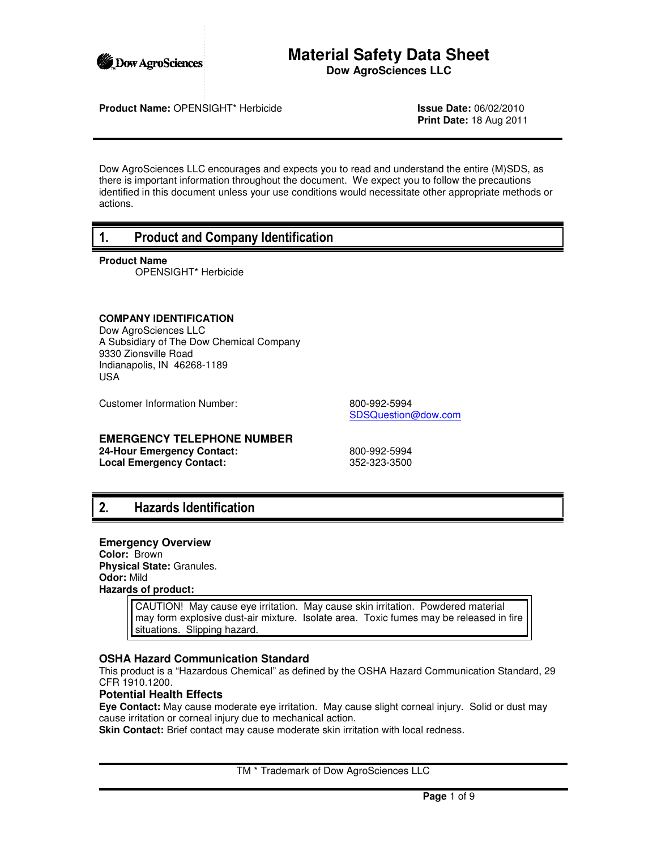

# **Material Safety Data Sheet Dow AgroSciences LLC**

**Product Name:** OPENSIGHT\* Herbicide **Issue Date:** 06/02/2010

**Print Date:** 18 Aug 2011

Dow AgroSciences LLC encourages and expects you to read and understand the entire (M)SDS, as there is important information throughout the document. We expect you to follow the precautions identified in this document unless your use conditions would necessitate other appropriate methods or actions.

# 1. Product and Company Identification

**Product Name**

OPENSIGHT\* Herbicide

# **COMPANY IDENTIFICATION**

Dow AgroSciences LLC A Subsidiary of The Dow Chemical Company 9330 Zionsville Road Indianapolis, IN 46268-1189 USA

Customer Information Number: 800-992-5994

SDSQuestion@dow.com

# **EMERGENCY TELEPHONE NUMBER**

**24-Hour Emergency Contact:** 800-992-5994 **Local Emergency Contact:** 352-323-3500

# 2. Hazards Identification

### **Emergency Overview**

**Color:** Brown **Physical State:** Granules. **Odor:** Mild **Hazards of product:**

> CAUTION! May cause eye irritation. May cause skin irritation. Powdered material may form explosive dust-air mixture. Isolate area. Toxic fumes may be released in fire situations. Slipping hazard.

# **OSHA Hazard Communication Standard**

This product is a "Hazardous Chemical" as defined by the OSHA Hazard Communication Standard, 29 CFR 1910.1200.

# **Potential Health Effects**

**Eye Contact:** May cause moderate eye irritation. May cause slight corneal injury. Solid or dust may cause irritation or corneal injury due to mechanical action.

**Skin Contact:** Brief contact may cause moderate skin irritation with local redness.

TM \* Trademark of Dow AgroSciences LLC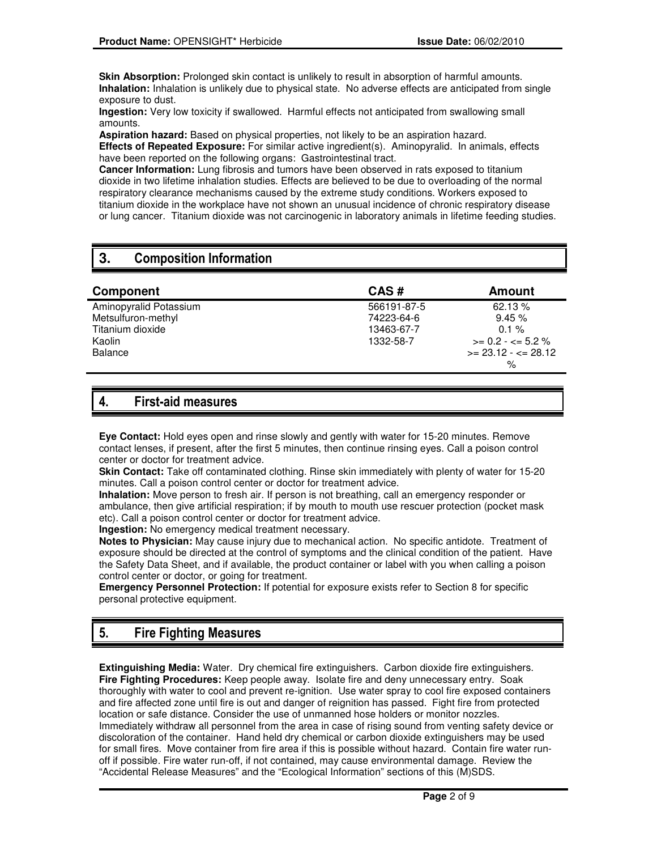**Skin Absorption:** Prolonged skin contact is unlikely to result in absorption of harmful amounts. **Inhalation:** Inhalation is unlikely due to physical state. No adverse effects are anticipated from single exposure to dust.

**Ingestion:** Very low toxicity if swallowed. Harmful effects not anticipated from swallowing small amounts.

**Aspiration hazard:** Based on physical properties, not likely to be an aspiration hazard.

**Effects of Repeated Exposure:** For similar active ingredient(s). Aminopyralid. In animals, effects have been reported on the following organs: Gastrointestinal tract.

**Cancer Information:** Lung fibrosis and tumors have been observed in rats exposed to titanium dioxide in two lifetime inhalation studies. Effects are believed to be due to overloading of the normal respiratory clearance mechanisms caused by the extreme study conditions. Workers exposed to titanium dioxide in the workplace have not shown an unusual incidence of chronic respiratory disease or lung cancer. Titanium dioxide was not carcinogenic in laboratory animals in lifetime feeding studies.

# **3.** Composition Information

| Component              | CAS#        | Amount                       |
|------------------------|-------------|------------------------------|
| Aminopyralid Potassium | 566191-87-5 | 62.13 %                      |
| Metsulfuron-methyl     | 74223-64-6  | 9.45%                        |
| Titanium dioxide       | 13463-67-7  | $0.1 \%$                     |
| Kaolin                 | 1332-58-7   | $>= 0.2 - \epsilon = 5.2 \%$ |
| Balance                |             | $>= 23.12 - 28.12$           |
|                        |             | %                            |

# 4. First-aid measures

**Eye Contact:** Hold eyes open and rinse slowly and gently with water for 15-20 minutes. Remove contact lenses, if present, after the first 5 minutes, then continue rinsing eyes. Call a poison control center or doctor for treatment advice.

**Skin Contact:** Take off contaminated clothing. Rinse skin immediately with plenty of water for 15-20 minutes. Call a poison control center or doctor for treatment advice.

**Inhalation:** Move person to fresh air. If person is not breathing, call an emergency responder or ambulance, then give artificial respiration; if by mouth to mouth use rescuer protection (pocket mask etc). Call a poison control center or doctor for treatment advice.

**Ingestion:** No emergency medical treatment necessary.

**Notes to Physician:** May cause injury due to mechanical action. No specific antidote. Treatment of exposure should be directed at the control of symptoms and the clinical condition of the patient. Have the Safety Data Sheet, and if available, the product container or label with you when calling a poison control center or doctor, or going for treatment.

**Emergency Personnel Protection:** If potential for exposure exists refer to Section 8 for specific personal protective equipment.

# 5. Fire Fighting Measures

**Extinguishing Media:** Water. Dry chemical fire extinguishers. Carbon dioxide fire extinguishers. **Fire Fighting Procedures:** Keep people away. Isolate fire and deny unnecessary entry. Soak thoroughly with water to cool and prevent re-ignition. Use water spray to cool fire exposed containers and fire affected zone until fire is out and danger of reignition has passed. Fight fire from protected location or safe distance. Consider the use of unmanned hose holders or monitor nozzles. Immediately withdraw all personnel from the area in case of rising sound from venting safety device or discoloration of the container. Hand held dry chemical or carbon dioxide extinguishers may be used for small fires. Move container from fire area if this is possible without hazard. Contain fire water runoff if possible. Fire water run-off, if not contained, may cause environmental damage. Review the "Accidental Release Measures" and the "Ecological Information" sections of this (M)SDS.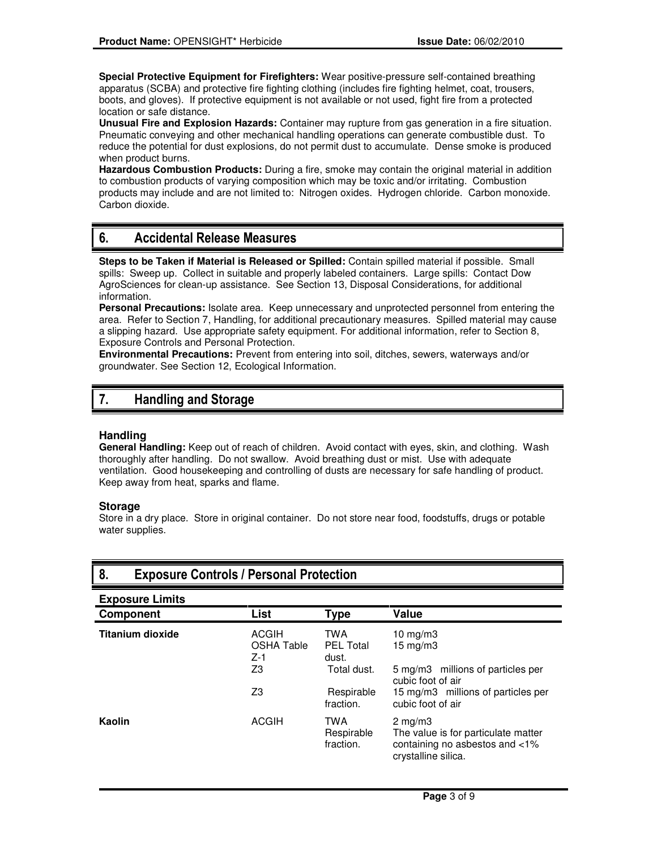**Special Protective Equipment for Firefighters:** Wear positive-pressure self-contained breathing apparatus (SCBA) and protective fire fighting clothing (includes fire fighting helmet, coat, trousers, boots, and gloves). If protective equipment is not available or not used, fight fire from a protected location or safe distance.

**Unusual Fire and Explosion Hazards:** Container may rupture from gas generation in a fire situation. Pneumatic conveying and other mechanical handling operations can generate combustible dust. To reduce the potential for dust explosions, do not permit dust to accumulate. Dense smoke is produced when product burns.

**Hazardous Combustion Products:** During a fire, smoke may contain the original material in addition to combustion products of varying composition which may be toxic and/or irritating. Combustion products may include and are not limited to: Nitrogen oxides. Hydrogen chloride. Carbon monoxide. Carbon dioxide.

# 6. Accidental Release Measures

**Steps to be Taken if Material is Released or Spilled:** Contain spilled material if possible. Small spills: Sweep up. Collect in suitable and properly labeled containers. Large spills: Contact Dow AgroSciences for clean-up assistance. See Section 13, Disposal Considerations, for additional information.

**Personal Precautions:** Isolate area. Keep unnecessary and unprotected personnel from entering the area. Refer to Section 7, Handling, for additional precautionary measures. Spilled material may cause a slipping hazard. Use appropriate safety equipment. For additional information, refer to Section 8, Exposure Controls and Personal Protection.

**Environmental Precautions:** Prevent from entering into soil, ditches, sewers, waterways and/or groundwater. See Section 12, Ecological Information.

# 7. Handling and Storage

# **Handling**

**General Handling:** Keep out of reach of children. Avoid contact with eyes, skin, and clothing. Wash thoroughly after handling. Do not swallow. Avoid breathing dust or mist. Use with adequate ventilation. Good housekeeping and controlling of dusts are necessary for safe handling of product. Keep away from heat, sparks and flame.

### **Storage**

Store in a dry place. Store in original container. Do not store near food, foodstuffs, drugs or potable water supplies.

| 8.<br><b>Exposure Controls / Personal Protection</b> |                                                        |                                                                      |                                                                                                                                 |
|------------------------------------------------------|--------------------------------------------------------|----------------------------------------------------------------------|---------------------------------------------------------------------------------------------------------------------------------|
| <b>Exposure Limits</b>                               |                                                        |                                                                      |                                                                                                                                 |
| <b>Component</b>                                     | <b>List</b>                                            | <b>Type</b>                                                          | Value                                                                                                                           |
| <b>Titanium dioxide</b>                              | <b>ACGIH</b><br><b>OSHA Table</b><br>$Z-1$<br>Z3<br>Z3 | <b>TWA</b><br><b>PEL Total</b><br>dust.<br>Total dust.<br>Respirable | 10 $mg/m3$<br>$15 \text{ mg/m}$<br>5 mg/m3 millions of particles per<br>cubic foot of air<br>15 mg/m3 millions of particles per |
|                                                      |                                                        | fraction.                                                            | cubic foot of air                                                                                                               |
| Kaolin                                               | <b>ACGIH</b>                                           | TWA<br>Respirable<br>fraction.                                       | $2 \text{ mg/m}$<br>The value is for particulate matter<br>containing no asbestos and <1%<br>crystalline silica.                |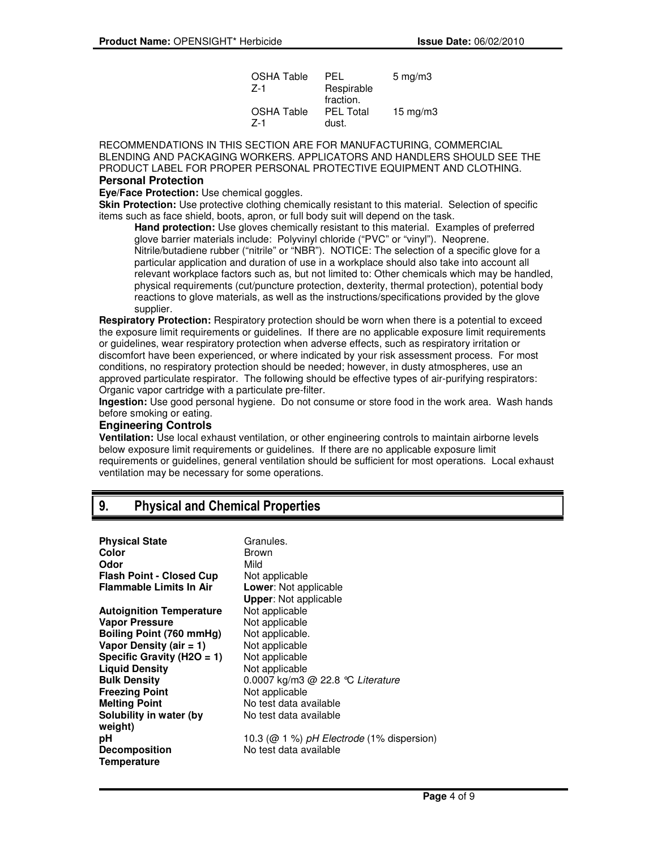| <b>OSHA Table</b> | PFL              | $5 \text{ mg/m}$ 3 |
|-------------------|------------------|--------------------|
| 7-1               | Respirable       |                    |
|                   | fraction.        |                    |
| OSHA Table        | <b>PEL Total</b> | $15 \text{ mg/m}$  |
| 7-1               | dust.            |                    |

RECOMMENDATIONS IN THIS SECTION ARE FOR MANUFACTURING, COMMERCIAL BLENDING AND PACKAGING WORKERS. APPLICATORS AND HANDLERS SHOULD SEE THE PRODUCT LABEL FOR PROPER PERSONAL PROTECTIVE EQUIPMENT AND CLOTHING. **Personal Protection**

**Eve/Face Protection:** Use chemical goggles.

**Skin Protection:** Use protective clothing chemically resistant to this material. Selection of specific items such as face shield, boots, apron, or full body suit will depend on the task.

**Hand protection:** Use gloves chemically resistant to this material. Examples of preferred glove barrier materials include: Polyvinyl chloride ("PVC" or "vinyl"). Neoprene. Nitrile/butadiene rubber ("nitrile" or "NBR"). NOTICE: The selection of a specific glove for a particular application and duration of use in a workplace should also take into account all relevant workplace factors such as, but not limited to: Other chemicals which may be handled, physical requirements (cut/puncture protection, dexterity, thermal protection), potential body reactions to glove materials, as well as the instructions/specifications provided by the glove supplier.

**Respiratory Protection:** Respiratory protection should be worn when there is a potential to exceed the exposure limit requirements or guidelines. If there are no applicable exposure limit requirements or guidelines, wear respiratory protection when adverse effects, such as respiratory irritation or discomfort have been experienced, or where indicated by your risk assessment process. For most conditions, no respiratory protection should be needed; however, in dusty atmospheres, use an approved particulate respirator. The following should be effective types of air-purifying respirators: Organic vapor cartridge with a particulate pre-filter.

**Ingestion:** Use good personal hygiene. Do not consume or store food in the work area. Wash hands before smoking or eating.

### **Engineering Controls**

**Ventilation:** Use local exhaust ventilation, or other engineering controls to maintain airborne levels below exposure limit requirements or guidelines. If there are no applicable exposure limit requirements or guidelines, general ventilation should be sufficient for most operations. Local exhaust ventilation may be necessary for some operations.

# 9. Physical and Chemical Properties

| <b>Physical State</b><br>Color<br>Odor | Granules.<br>Brown<br>Mild                   |
|----------------------------------------|----------------------------------------------|
| <b>Flash Point - Closed Cup</b>        | Not applicable                               |
| Flammable Limits In Air                | <b>Lower:</b> Not applicable                 |
|                                        | <b>Upper: Not applicable</b>                 |
| <b>Autoignition Temperature</b>        | Not applicable                               |
| Vapor Pressure                         | Not applicable                               |
| Boiling Point (760 mmHg)               | Not applicable.                              |
| Vapor Density (air = 1)                | Not applicable                               |
| Specific Gravity (H2O = 1)             | Not applicable                               |
| <b>Liquid Density</b>                  | Not applicable                               |
| <b>Bulk Density</b>                    | 0.0007 kg/m3 $@$ 22.8 °C Literature          |
| <b>Freezing Point</b>                  | Not applicable                               |
| <b>Melting Point</b>                   | No test data available                       |
| Solubility in water (by                | No test data available                       |
| weight)                                |                                              |
| рH                                     | 10.3 ( $@$ 1 %) pH Electrode (1% dispersion) |
| <b>Decomposition</b>                   | No test data available                       |
| Temperature                            |                                              |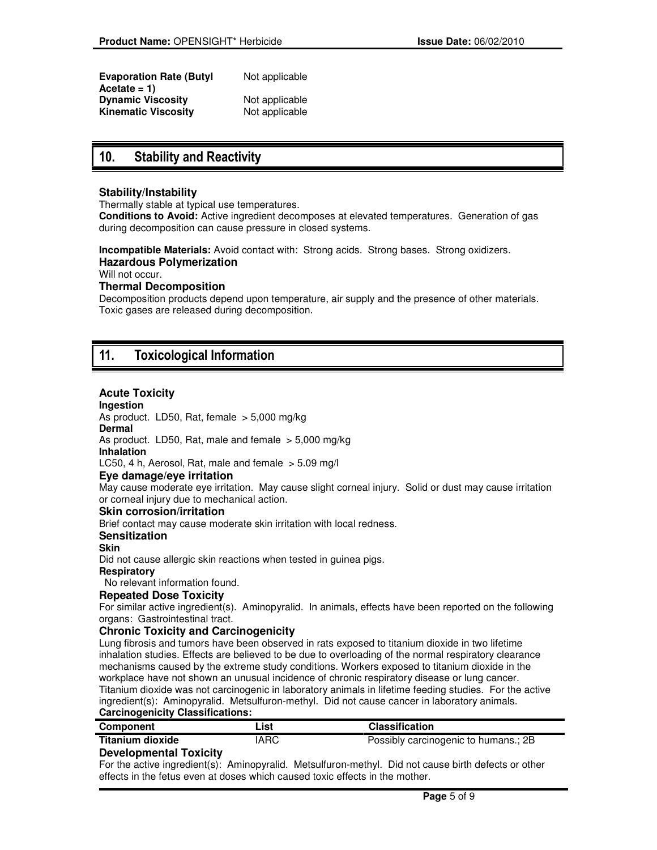| <b>Evaporation Rate (Butyl</b><br>Acetate = 1) | Not applicable |
|------------------------------------------------|----------------|
| <b>Dynamic Viscosity</b>                       | Not applicable |
| Kinematic Viscositv                            | Not applicable |

# 10. Stability and Reactivity

# **Stability/Instability**

Thermally stable at typical use temperatures.

**Conditions to Avoid:** Active ingredient decomposes at elevated temperatures. Generation of gas during decomposition can cause pressure in closed systems.

**Incompatible Materials:** Avoid contact with: Strong acids. Strong bases. Strong oxidizers. **Hazardous Polymerization** 

Will not occur.

### **Thermal Decomposition**

Decomposition products depend upon temperature, air supply and the presence of other materials. Toxic gases are released during decomposition.

# 11. Toxicological Information

# **Acute Toxicity**

#### **Ingestion**

As product. LD50, Rat, female > 5,000 mg/kg

#### **Dermal**

As product. LD50, Rat, male and female  $> 5,000$  mg/kg

# **Inhalation**

LC50, 4 h, Aerosol, Rat, male and female  $>$  5.09 mg/l

### **Eye damage/eye irritation**

May cause moderate eye irritation. May cause slight corneal injury. Solid or dust may cause irritation or corneal injury due to mechanical action.

### **Skin corrosion/irritation**

Brief contact may cause moderate skin irritation with local redness.

#### **Sensitization**

# **Skin**

Did not cause allergic skin reactions when tested in guinea pigs.

**Respiratory**

No relevant information found.

# **Repeated Dose Toxicity**

For similar active ingredient(s). Aminopyralid. In animals, effects have been reported on the following organs: Gastrointestinal tract.

### **Chronic Toxicity and Carcinogenicity**

Lung fibrosis and tumors have been observed in rats exposed to titanium dioxide in two lifetime inhalation studies. Effects are believed to be due to overloading of the normal respiratory clearance mechanisms caused by the extreme study conditions. Workers exposed to titanium dioxide in the workplace have not shown an unusual incidence of chronic respiratory disease or lung cancer. Titanium dioxide was not carcinogenic in laboratory animals in lifetime feeding studies. For the active ingredient(s): Aminopyralid. Metsulfuron-methyl. Did not cause cancer in laboratory animals. **Carcinogenicity Classifications:**

| Component        | List | <b>Classification</b>                |
|------------------|------|--------------------------------------|
| Titanium dioxide | IARC | Possibly carcinogenic to humans.; 2B |
|                  |      |                                      |

### **Developmental Toxicity**

For the active ingredient(s): Aminopyralid. Metsulfuron-methyl. Did not cause birth defects or other effects in the fetus even at doses which caused toxic effects in the mother.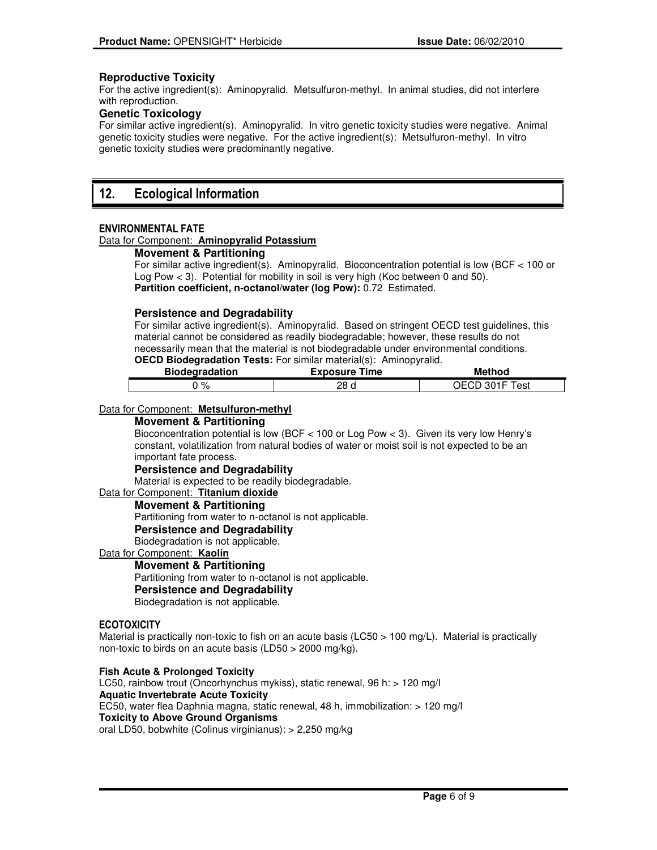# **Reproductive Toxicity**

For the active ingredient(s): Aminopyralid. Metsulfuron-methyl. In animal studies, did not interfere with reproduction.

# **Genetic Toxicology**

For similar active ingredient(s). Aminopyralid. In vitro genetic toxicity studies were negative. Animal genetic toxicity studies were negative. For the active ingredient(s): Metsulfuron-methyl. In vitro genetic toxicity studies were predominantly negative.

# 12. Ecological Information

### ENVIRONMENTAL FATE

#### Data for Component: **Aminopyralid Potassium**

# **Movement & Partitioning**

For similar active ingredient(s). Aminopyralid. Bioconcentration potential is low (BCF < 100 or Log Pow < 3). Potential for mobility in soil is very high (Koc between 0 and 50). **Partition coefficient, n-octanol/water (log Pow):** 0.72 Estimated.

### **Persistence and Degradability**

For similar active ingredient(s). Aminopyralid. Based on stringent OECD test guidelines, this material cannot be considered as readily biodegradable; however, these results do not necessarily mean that the material is not biodegradable under environmental conditions.

# **OECD Biodegradation Tests:** For similar material(s): Aminopyralid.

| <b>Biodegradation</b> |      | Method         |
|-----------------------|------|----------------|
| $\Omega$<br>70        | 28 d | OECD 301F Test |

#### Data for Component: **Metsulfuron-methyl**

#### **Movement & Partitioning**

Bioconcentration potential is low (BCF < 100 or Log Pow < 3). Given its very low Henry's constant, volatilization from natural bodies of water or moist soil is not expected to be an important fate process.

#### **Persistence and Degradability**

Material is expected to be readily biodegradable.

### Data for Component: **Titanium dioxide**

**Movement & Partitioning** 

Partitioning from water to n-octanol is not applicable.

**Persistence and Degradability** 

Biodegradation is not applicable.

#### Data for Component: **Kaolin**

### **Movement & Partitioning**

Partitioning from water to n-octanol is not applicable. **Persistence and Degradability** 

Biodegradation is not applicable.

#### **ECOTOXICITY**

Material is practically non-toxic to fish on an acute basis (LC50 > 100 mg/L). Material is practically non-toxic to birds on an acute basis (LD50 > 2000 mg/kg).

**Fish Acute & Prolonged Toxicity** 

LC50, rainbow trout (Oncorhynchus mykiss), static renewal, 96 h: > 120 mg/l **Aquatic Invertebrate Acute Toxicity**  EC50, water flea Daphnia magna, static renewal, 48 h, immobilization: > 120 mg/l **Toxicity to Above Ground Organisms**  oral LD50, bobwhite (Colinus virginianus): > 2,250 mg/kg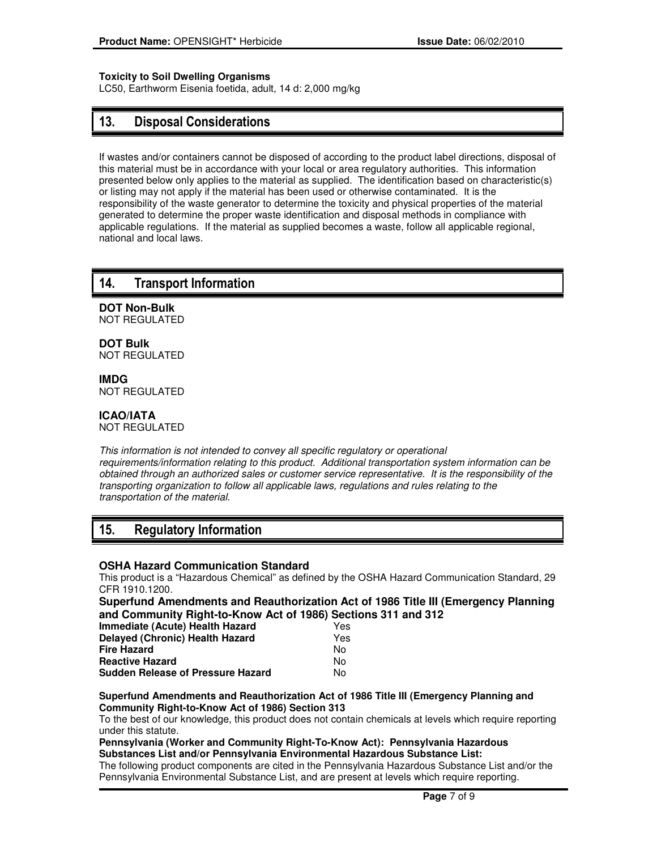# **Toxicity to Soil Dwelling Organisms**

LC50, Earthworm Eisenia foetida, adult, 14 d: 2,000 mg/kg

# 13. Disposal Considerations

If wastes and/or containers cannot be disposed of according to the product label directions, disposal of this material must be in accordance with your local or area regulatory authorities. This information presented below only applies to the material as supplied. The identification based on characteristic(s) or listing may not apply if the material has been used or otherwise contaminated. It is the responsibility of the waste generator to determine the toxicity and physical properties of the material generated to determine the proper waste identification and disposal methods in compliance with applicable regulations. If the material as supplied becomes a waste, follow all applicable regional, national and local laws.

# 14. Transport Information

**DOT Non-Bulk** NOT REGULATED

**DOT Bulk** NOT REGULATED

**IMDG** NOT REGULATED

# **ICAO/IATA**

NOT REGULATED

This information is not intended to convey all specific regulatory or operational requirements/information relating to this product. Additional transportation system information can be obtained through an authorized sales or customer service representative. It is the responsibility of the transporting organization to follow all applicable laws, regulations and rules relating to the transportation of the material.

# 15. Regulatory Information

### **OSHA Hazard Communication Standard**

This product is a "Hazardous Chemical" as defined by the OSHA Hazard Communication Standard, 29 CFR 1910.1200.

**Superfund Amendments and Reauthorization Act of 1986 Title III (Emergency Planning and Community Right-to-Know Act of 1986) Sections 311 and 312**

| <b>Immediate (Acute) Health Hazard</b>   | Yes |
|------------------------------------------|-----|
| <b>Delayed (Chronic) Health Hazard</b>   | Yes |
| <b>Fire Hazard</b>                       | No. |
| <b>Reactive Hazard</b>                   | Nο  |
| <b>Sudden Release of Pressure Hazard</b> | N٥  |

#### **Superfund Amendments and Reauthorization Act of 1986 Title III (Emergency Planning and Community Right-to-Know Act of 1986) Section 313**

To the best of our knowledge, this product does not contain chemicals at levels which require reporting under this statute.

#### **Pennsylvania (Worker and Community Right-To-Know Act): Pennsylvania Hazardous Substances List and/or Pennsylvania Environmental Hazardous Substance List:**

The following product components are cited in the Pennsylvania Hazardous Substance List and/or the Pennsylvania Environmental Substance List, and are present at levels which require reporting.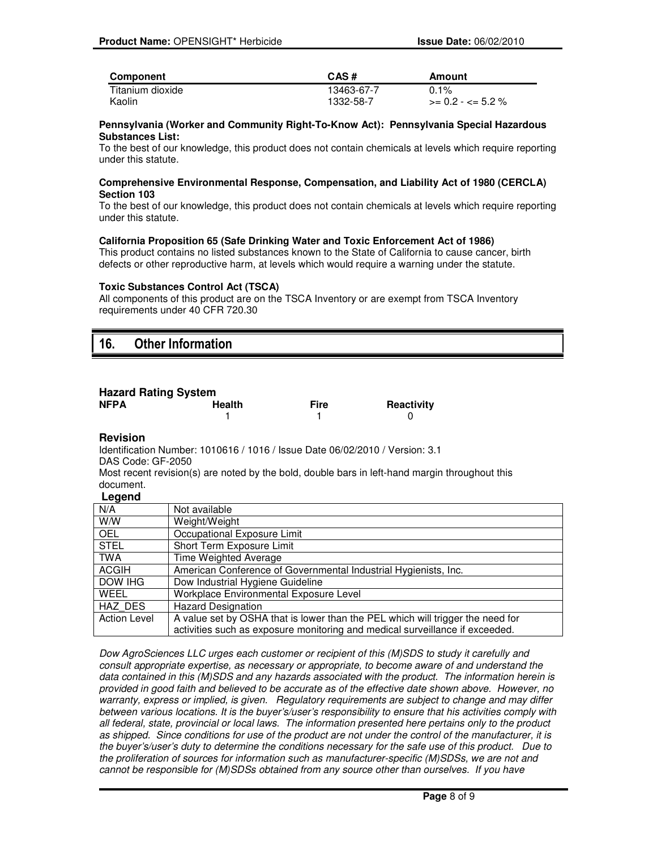| Component        | CAS#       | Amount                |
|------------------|------------|-----------------------|
| Titanium dioxide | 13463-67-7 | $0.1\%$               |
| Kaolin           | 1332-58-7  | $>= 0.2 - \le 5.2 \%$ |

#### **Pennsylvania (Worker and Community Right-To-Know Act): Pennsylvania Special Hazardous Substances List:**

To the best of our knowledge, this product does not contain chemicals at levels which require reporting under this statute.

#### **Comprehensive Environmental Response, Compensation, and Liability Act of 1980 (CERCLA) Section 103**

To the best of our knowledge, this product does not contain chemicals at levels which require reporting under this statute.

#### **California Proposition 65 (Safe Drinking Water and Toxic Enforcement Act of 1986)**

This product contains no listed substances known to the State of California to cause cancer, birth defects or other reproductive harm, at levels which would require a warning under the statute.

#### **Toxic Substances Control Act (TSCA)**

All components of this product are on the TSCA Inventory or are exempt from TSCA Inventory requirements under 40 CFR 720.30

# 16. Other Information

# **Hazard Rating System**

| . 2010<br>NFPA | Health | <b>Fire</b> | Reactivity |
|----------------|--------|-------------|------------|
|                |        |             |            |

### **Revision**

Identification Number: 1010616 / 1016 / Issue Date 06/02/2010 / Version: 3.1 DAS Code: GF-2050

Most recent revision(s) are noted by the bold, double bars in left-hand margin throughout this document.

### **Legend**

| N/A                 | Not available                                                                  |
|---------------------|--------------------------------------------------------------------------------|
| W/W                 | Weight/Weight                                                                  |
| <b>OEL</b>          | Occupational Exposure Limit                                                    |
| STEL                | Short Term Exposure Limit                                                      |
| <b>TWA</b>          | Time Weighted Average                                                          |
| ACGIH               | American Conference of Governmental Industrial Hygienists, Inc.                |
| DOW IHG             | Dow Industrial Hygiene Guideline                                               |
| WFFL                | Workplace Environmental Exposure Level                                         |
| HAZ DES             | <b>Hazard Designation</b>                                                      |
| <b>Action Level</b> | A value set by OSHA that is lower than the PEL which will trigger the need for |
|                     | activities such as exposure monitoring and medical surveillance if exceeded.   |

Dow AgroSciences LLC urges each customer or recipient of this (M)SDS to study it carefully and consult appropriate expertise, as necessary or appropriate, to become aware of and understand the data contained in this (M)SDS and any hazards associated with the product. The information herein is provided in good faith and believed to be accurate as of the effective date shown above. However, no warranty, express or implied, is given. Regulatory requirements are subject to change and may differ between various locations. It is the buyer's/user's responsibility to ensure that his activities comply with all federal, state, provincial or local laws. The information presented here pertains only to the product as shipped. Since conditions for use of the product are not under the control of the manufacturer, it is the buyer's/user's duty to determine the conditions necessary for the safe use of this product. Due to the proliferation of sources for information such as manufacturer-specific (M)SDSs, we are not and cannot be responsible for (M)SDSs obtained from any source other than ourselves. If you have